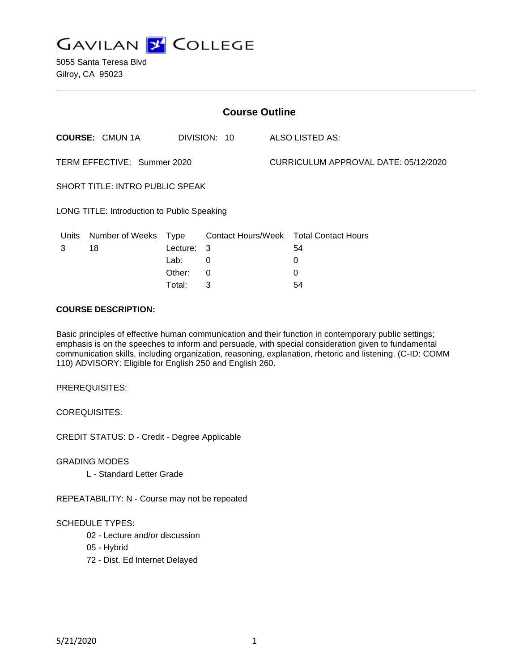

5055 Santa Teresa Blvd Gilroy, CA 95023

| <b>Course Outline</b>                       |        |      |                                      |                                        |
|---------------------------------------------|--------|------|--------------------------------------|----------------------------------------|
| <b>COURSE: CMUN1A</b>                       |        |      |                                      | <b>ALSO LISTED AS:</b>                 |
| TERM EFFECTIVE: Summer 2020                 |        |      | CURRICULUM APPROVAL DATE: 05/12/2020 |                                        |
| SHORT TITLE: INTRO PUBLIC SPEAK             |        |      |                                      |                                        |
| LONG TITLE: Introduction to Public Speaking |        |      |                                      |                                        |
| Number of Weeks                             |        |      |                                      |                                        |
| 18                                          |        |      |                                      | 54                                     |
|                                             | Lab:   | 0    |                                      | 0                                      |
|                                             | Other: | 0    |                                      | 0                                      |
|                                             |        | Type | DIVISION: 10<br>Lecture: 3           | Contact Hours/Week Total Contact Hours |

#### **COURSE DESCRIPTION:**

Basic principles of effective human communication and their function in contemporary public settings; emphasis is on the speeches to inform and persuade, with special consideration given to fundamental communication skills, including organization, reasoning, explanation, rhetoric and listening. (C-ID: COMM 110) ADVISORY: Eligible for English 250 and English 260.

Total: 3 54

PREREQUISITES:

COREQUISITES:

CREDIT STATUS: D - Credit - Degree Applicable

GRADING MODES

L - Standard Letter Grade

REPEATABILITY: N - Course may not be repeated

### SCHEDULE TYPES:

- 02 Lecture and/or discussion
- 05 Hybrid
- 72 Dist. Ed Internet Delayed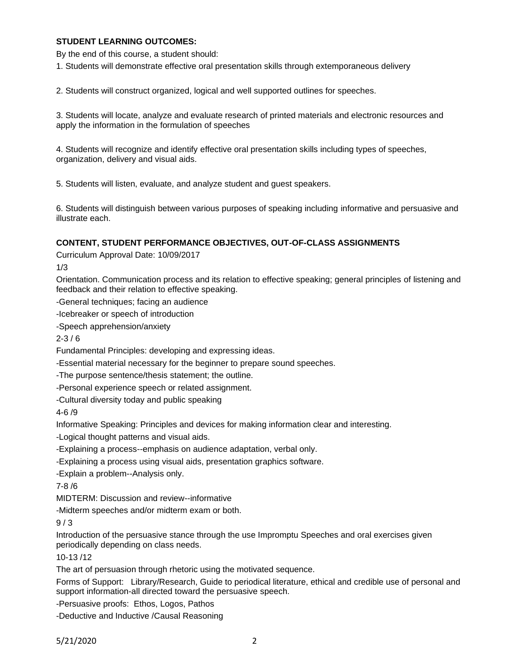### **STUDENT LEARNING OUTCOMES:**

By the end of this course, a student should:

1. Students will demonstrate effective oral presentation skills through extemporaneous delivery

2. Students will construct organized, logical and well supported outlines for speeches.

3. Students will locate, analyze and evaluate research of printed materials and electronic resources and apply the information in the formulation of speeches

4. Students will recognize and identify effective oral presentation skills including types of speeches, organization, delivery and visual aids.

5. Students will listen, evaluate, and analyze student and guest speakers.

6. Students will distinguish between various purposes of speaking including informative and persuasive and illustrate each.

### **CONTENT, STUDENT PERFORMANCE OBJECTIVES, OUT-OF-CLASS ASSIGNMENTS**

Curriculum Approval Date: 10/09/2017

1/3

Orientation. Communication process and its relation to effective speaking; general principles of listening and feedback and their relation to effective speaking.

-General techniques; facing an audience

-Icebreaker or speech of introduction

-Speech apprehension/anxiety

 $2 - 3 / 6$ 

Fundamental Principles: developing and expressing ideas.

-Essential material necessary for the beginner to prepare sound speeches.

-The purpose sentence/thesis statement; the outline.

-Personal experience speech or related assignment.

-Cultural diversity today and public speaking

4-6 /9

Informative Speaking: Principles and devices for making information clear and interesting.

-Logical thought patterns and visual aids.

-Explaining a process--emphasis on audience adaptation, verbal only.

-Explaining a process using visual aids, presentation graphics software.

-Explain a problem--Analysis only.

7-8 /6

MIDTERM: Discussion and review--informative

-Midterm speeches and/or midterm exam or both.

9 / 3

Introduction of the persuasive stance through the use Impromptu Speeches and oral exercises given periodically depending on class needs.

10-13 /12

The art of persuasion through rhetoric using the motivated sequence.

Forms of Support: Library/Research, Guide to periodical literature, ethical and credible use of personal and support information-all directed toward the persuasive speech.

-Persuasive proofs: Ethos, Logos, Pathos

-Deductive and Inductive /Causal Reasoning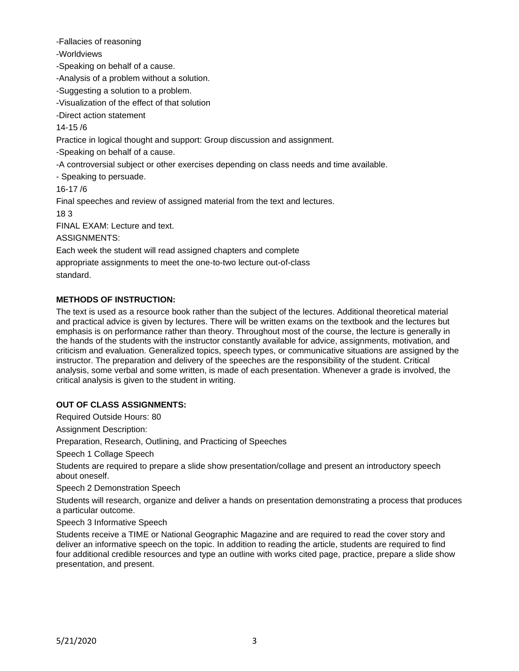-Fallacies of reasoning

-Worldviews

-Speaking on behalf of a cause.

-Analysis of a problem without a solution.

-Suggesting a solution to a problem.

-Visualization of the effect of that solution

-Direct action statement

14-15 /6

Practice in logical thought and support: Group discussion and assignment.

-Speaking on behalf of a cause.

-A controversial subject or other exercises depending on class needs and time available.

- Speaking to persuade.

16-17 /6

Final speeches and review of assigned material from the text and lectures.

18 3

FINAL EXAM: Lecture and text.

ASSIGNMENTS:

Each week the student will read assigned chapters and complete

appropriate assignments to meet the one-to-two lecture out-of-class

standard.

# **METHODS OF INSTRUCTION:**

The text is used as a resource book rather than the subject of the lectures. Additional theoretical material and practical advice is given by lectures. There will be written exams on the textbook and the lectures but emphasis is on performance rather than theory. Throughout most of the course, the lecture is generally in the hands of the students with the instructor constantly available for advice, assignments, motivation, and criticism and evaluation. Generalized topics, speech types, or communicative situations are assigned by the instructor. The preparation and delivery of the speeches are the responsibility of the student. Critical analysis, some verbal and some written, is made of each presentation. Whenever a grade is involved, the critical analysis is given to the student in writing.

# **OUT OF CLASS ASSIGNMENTS:**

Required Outside Hours: 80

Assignment Description:

Preparation, Research, Outlining, and Practicing of Speeches

Speech 1 Collage Speech

Students are required to prepare a slide show presentation/collage and present an introductory speech about oneself.

Speech 2 Demonstration Speech

Students will research, organize and deliver a hands on presentation demonstrating a process that produces a particular outcome.

### Speech 3 Informative Speech

Students receive a TIME or National Geographic Magazine and are required to read the cover story and deliver an informative speech on the topic. In addition to reading the article, students are required to find four additional credible resources and type an outline with works cited page, practice, prepare a slide show presentation, and present.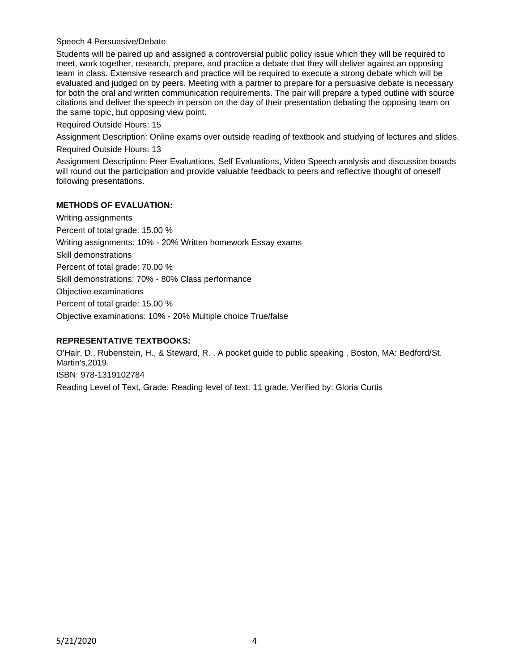#### Speech 4 Persuasive/Debate

Students will be paired up and assigned a controversial public policy issue which they will be required to meet, work together, research, prepare, and practice a debate that they will deliver against an opposing team in class. Extensive research and practice will be required to execute a strong debate which will be evaluated and judged on by peers. Meeting with a partner to prepare for a persuasive debate is necessary for both the oral and written communication requirements. The pair will prepare a typed outline with source citations and deliver the speech in person on the day of their presentation debating the opposing team on the same topic, but opposing view point.

Required Outside Hours: 15

Assignment Description: Online exams over outside reading of textbook and studying of lectures and slides. Required Outside Hours: 13

Assignment Description: Peer Evaluations, Self Evaluations, Video Speech analysis and discussion boards will round out the participation and provide valuable feedback to peers and reflective thought of oneself following presentations.

### **METHODS OF EVALUATION:**

Writing assignments Percent of total grade: 15.00 % Writing assignments: 10% - 20% Written homework Essay exams Skill demonstrations Percent of total grade: 70.00 % Skill demonstrations: 70% - 80% Class performance Objective examinations Percent of total grade: 15.00 % Objective examinations: 10% - 20% Multiple choice True/false

### **REPRESENTATIVE TEXTBOOKS:**

O'Hair, D., Rubenstein, H., & Steward, R. . A pocket guide to public speaking . Boston, MA: Bedford/St. Martin's,2019. ISBN: 978-1319102784 Reading Level of Text, Grade: Reading level of text: 11 grade. Verified by: Gloria Curtis